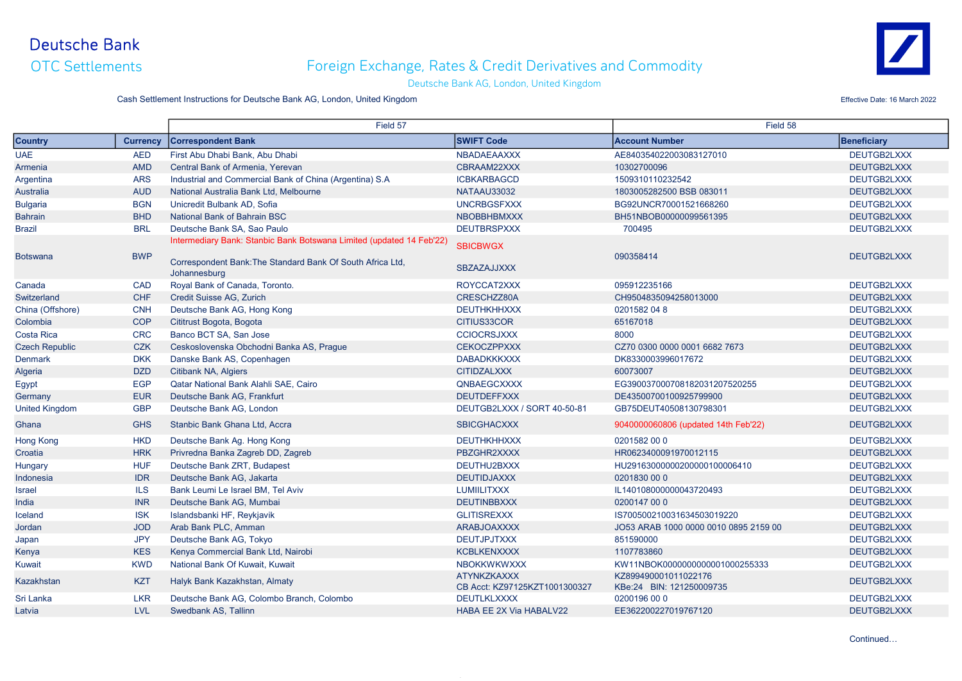OTC Settlements

# Foreign Exchange, Rates & Credit Derivatives and Commodity



#### Deutsche Bank AG, London, United Kingdom

Cash Settlement Instructions for Deutsche Bank AG, London, United Kingdom **Effective Date: 16 March 2022** Effective Date: 16 March 2022

|                       |                 | Field 57                                                                                                                                           |                                                     | Field 58                                         |                    |
|-----------------------|-----------------|----------------------------------------------------------------------------------------------------------------------------------------------------|-----------------------------------------------------|--------------------------------------------------|--------------------|
| <b>Country</b>        | <b>Currency</b> | <b>Correspondent Bank</b>                                                                                                                          | <b>SWIFT Code</b>                                   | <b>Account Number</b>                            | <b>Beneficiary</b> |
| <b>UAE</b>            | <b>AED</b>      | First Abu Dhabi Bank, Abu Dhabi                                                                                                                    | NBADAEAAXXX                                         | AE840354022003083127010                          | DEUTGB2LXXX        |
| Armenia               | <b>AMD</b>      | Central Bank of Armenia, Yerevan                                                                                                                   | CBRAAM22XXX                                         | 10302700096                                      | DEUTGB2LXXX        |
| Argentina             | <b>ARS</b>      | Industrial and Commercial Bank of China (Argentina) S.A                                                                                            | <b>ICBKARBAGCD</b>                                  | 1509310110232542                                 | DEUTGB2LXXX        |
| <b>Australia</b>      | <b>AUD</b>      | National Australia Bank Ltd. Melbourne                                                                                                             | NATAAU33032                                         | 1803005282500 BSB 083011                         | DEUTGB2LXXX        |
| <b>Bulgaria</b>       | <b>BGN</b>      | Unicredit Bulbank AD, Sofia                                                                                                                        | <b>UNCRBGSFXXX</b>                                  | BG92UNCR70001521668260                           | DEUTGB2LXXX        |
| <b>Bahrain</b>        | <b>BHD</b>      | <b>National Bank of Bahrain BSC</b>                                                                                                                | <b>NBOBBHBMXXX</b>                                  | BH51NBOB00000099561395                           | DEUTGB2LXXX        |
| <b>Brazil</b>         | <b>BRL</b>      | Deutsche Bank SA, Sao Paulo                                                                                                                        | <b>DEUTBRSPXXX</b>                                  | 700495                                           | DEUTGB2LXXX        |
| <b>Botswana</b>       | <b>BWP</b>      | Intermediary Bank: Stanbic Bank Botswana Limited (updated 14 Feb'22)<br>Correspondent Bank: The Standard Bank Of South Africa Ltd,<br>Johannesburg | <b>SBICBWGX</b><br><b>SBZAZAJJXXX</b>               | 090358414                                        | DEUTGB2LXXX        |
| Canada                | <b>CAD</b>      | Royal Bank of Canada, Toronto.                                                                                                                     | ROYCCAT2XXX                                         | 095912235166                                     | DEUTGB2LXXX        |
| Switzerland           | <b>CHF</b>      | Credit Suisse AG, Zurich                                                                                                                           | CRESCHZZ80A                                         | CH9504835094258013000                            | DEUTGB2LXXX        |
| China (Offshore)      | <b>CNH</b>      | Deutsche Bank AG, Hong Kong                                                                                                                        | <b>DEUTHKHHXXX</b>                                  | 0201582 04 8                                     | DEUTGB2LXXX        |
| Colombia              | <b>COP</b>      | Cititrust Bogota, Bogota                                                                                                                           | CITIUS33COR                                         | 65167018                                         | DEUTGB2LXXX        |
| Costa Rica            | <b>CRC</b>      | Banco BCT SA, San Jose                                                                                                                             | <b>CCIOCRSJXXX</b>                                  | 8000                                             | DEUTGB2LXXX        |
| <b>Czech Republic</b> | <b>CZK</b>      | Ceskoslovenska Obchodni Banka AS, Prague                                                                                                           | <b>CEKOCZPPXXX</b>                                  | CZ70 0300 0000 0001 6682 7673                    | DEUTGB2LXXX        |
| <b>Denmark</b>        | <b>DKK</b>      | Danske Bank AS, Copenhagen                                                                                                                         | <b>DABADKKKXXX</b>                                  | DK8330003996017672                               | DEUTGB2LXXX        |
| Algeria               | <b>DZD</b>      | Citibank NA, Algiers                                                                                                                               | <b>CITIDZALXXX</b>                                  | 60073007                                         | DEUTGB2LXXX        |
| Egypt                 | <b>EGP</b>      | <b>Qatar National Bank Alahli SAE, Cairo</b>                                                                                                       | QNBAEGCXXXX                                         | EG390037000708182031207520255                    | DEUTGB2LXXX        |
| Germany               | <b>EUR</b>      | Deutsche Bank AG, Frankfurt                                                                                                                        | <b>DEUTDEFFXXX</b>                                  | DE43500700100925799900                           | DEUTGB2LXXX        |
| <b>United Kingdom</b> | <b>GBP</b>      | Deutsche Bank AG, London                                                                                                                           | DEUTGB2LXXX / SORT 40-50-81                         | GB75DEUT40508130798301                           | DEUTGB2LXXX        |
| Ghana                 | <b>GHS</b>      | Stanbic Bank Ghana Ltd. Accra                                                                                                                      | <b>SBICGHACXXX</b>                                  | 9040000060806 (updated 14th Feb'22)              | DEUTGB2LXXX        |
| <b>Hong Kong</b>      | <b>HKD</b>      | Deutsche Bank Ag. Hong Kong                                                                                                                        | <b>DEUTHKHHXXX</b>                                  | 0201582 00 0                                     | DEUTGB2LXXX        |
| Croatia               | <b>HRK</b>      | Privredna Banka Zagreb DD, Zagreb                                                                                                                  | PBZGHR2XXXX                                         | HR0623400091970012115                            | DEUTGB2LXXX        |
| Hungary               | <b>HUF</b>      | Deutsche Bank ZRT, Budapest                                                                                                                        | DEUTHU2BXXX                                         | HU29163000000200000100006410                     | DEUTGB2LXXX        |
| Indonesia             | <b>IDR</b>      | Deutsche Bank AG, Jakarta                                                                                                                          | <b>DEUTIDJAXXX</b>                                  | 0201830 00 0                                     | DEUTGB2LXXX        |
| <b>Israel</b>         | <b>ILS</b>      | Bank Leumi Le Israel BM. Tel Aviv                                                                                                                  | <b>LUMIILITXXX</b>                                  | IL140108000000043720493                          | DEUTGB2LXXX        |
| India                 | <b>INR</b>      | Deutsche Bank AG, Mumbai                                                                                                                           | <b>DEUTINBBXXX</b>                                  | 0200147 00 0                                     | DEUTGB2LXXX        |
| Iceland               | <b>ISK</b>      | Islandsbanki HF, Reykjavik                                                                                                                         | <b>GLITISREXXX</b>                                  | IS700500210031634503019220                       | DEUTGB2LXXX        |
| Jordan                | <b>JOD</b>      | Arab Bank PLC, Amman                                                                                                                               | <b>ARABJOAXXXX</b>                                  | JO53 ARAB 1000 0000 0010 0895 2159 00            | DEUTGB2LXXX        |
| Japan                 | <b>JPY</b>      | Deutsche Bank AG, Tokyo                                                                                                                            | <b>DEUTJPJTXXX</b>                                  | 851590000                                        | DEUTGB2LXXX        |
| Kenya                 | <b>KES</b>      | Kenya Commercial Bank Ltd, Nairobi                                                                                                                 | <b>KCBLKENXXXX</b>                                  | 1107783860                                       | DEUTGB2LXXX        |
| <b>Kuwait</b>         | <b>KWD</b>      | National Bank Of Kuwait, Kuwait                                                                                                                    | <b>NBOKKWKWXXX</b>                                  | KW11NBOK0000000000001000255333                   | DEUTGB2LXXX        |
| Kazakhstan            | <b>KZT</b>      | Halyk Bank Kazakhstan, Almaty                                                                                                                      | <b>ATYNKZKAXXX</b><br>CB Acct: KZ97125KZT1001300327 | KZ899490001011022176<br>KBe:24 BIN: 121250009735 | DEUTGB2LXXX        |
| Sri Lanka             | <b>LKR</b>      | Deutsche Bank AG, Colombo Branch, Colombo                                                                                                          | <b>DEUTLKLXXXX</b>                                  | 0200196 00 0                                     | DEUTGB2LXXX        |
| Latvia                | <b>LVL</b>      | Swedbank AS, Tallinn                                                                                                                               | <b>HABA EE 2X Via HABALV22</b>                      | EE362200227019767120                             | DEUTGB2LXXX        |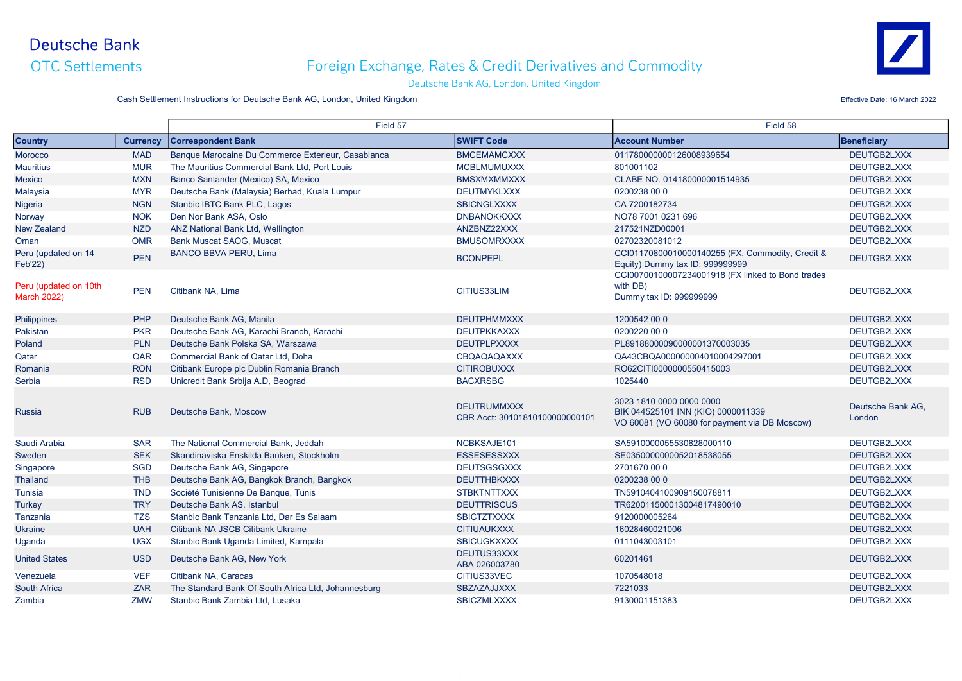OTC Settlements

# Foreign Exchange, Rates & Credit Derivatives and Commodity



#### Deutsche Bank AG, London, United Kingdom

Cash Settlement Instructions for Deutsche Bank AG, London, United Kingdom **Effective Date: 16 March 2022** Effective Date: 16 March 2022

|                                             |                 | Field 57                                            |                                                      | Field 58                                                                                                        |                             |
|---------------------------------------------|-----------------|-----------------------------------------------------|------------------------------------------------------|-----------------------------------------------------------------------------------------------------------------|-----------------------------|
| <b>Country</b>                              | <b>Currency</b> | <b>Correspondent Bank</b>                           | <b>SWIFT Code</b>                                    | <b>Account Number</b>                                                                                           | Beneficiary                 |
| <b>Morocco</b>                              | <b>MAD</b>      | Banque Marocaine Du Commerce Exterieur, Casablanca  | <b>BMCEMAMCXXX</b>                                   | 011780000000126008939654                                                                                        | DEUTGB2LXXX                 |
| <b>Mauritius</b>                            | <b>MUR</b>      | The Mauritius Commercial Bank Ltd, Port Louis       | <b>MCBLMUMUXXX</b>                                   | 801001102                                                                                                       | DEUTGB2LXXX                 |
| <b>Mexico</b>                               | <b>MXN</b>      | Banco Santander (Mexico) SA, Mexico                 | <b>BMSXMXMMXXX</b>                                   | CLABE NO. 014180000001514935                                                                                    | DEUTGB2LXXX                 |
| Malaysia                                    | <b>MYR</b>      | Deutsche Bank (Malaysia) Berhad, Kuala Lumpur       | <b>DEUTMYKLXXX</b>                                   | 0200238 00 0                                                                                                    | DEUTGB2LXXX                 |
| Nigeria                                     | <b>NGN</b>      | Stanbic IBTC Bank PLC, Lagos                        | <b>SBICNGLXXXX</b>                                   | CA 7200182734                                                                                                   | DEUTGB2LXXX                 |
| Norway                                      | <b>NOK</b>      | Den Nor Bank ASA, Oslo                              | <b>DNBANOKKXXX</b>                                   | NO78 7001 0231 696                                                                                              | DEUTGB2LXXX                 |
| <b>New Zealand</b>                          | <b>NZD</b>      | <b>ANZ National Bank Ltd, Wellington</b>            | ANZBNZ22XXX                                          | 217521NZD00001                                                                                                  | DEUTGB2LXXX                 |
| Oman                                        | <b>OMR</b>      | <b>Bank Muscat SAOG, Muscat</b>                     | <b>BMUSOMRXXXX</b>                                   | 02702320081012                                                                                                  | DEUTGB2LXXX                 |
| Peru (updated on 14<br><b>Feb'22)</b>       | <b>PEN</b>      | <b>BANCO BBVA PERU, Lima</b>                        | <b>BCONPEPL</b>                                      | CCI01170800010000140255 (FX, Commodity, Credit &<br>Equity) Dummy tax ID: 999999999                             | DEUTGB2LXXX                 |
| Peru (updated on 10th<br><b>March 2022)</b> | <b>PEN</b>      | Citibank NA, Lima                                   | CITIUS33LIM                                          | CCI00700100007234001918 (FX linked to Bond trades<br>with DB)<br>Dummy tax ID: 999999999                        | DEUTGB2LXXX                 |
| Philippines                                 | PHP             | Deutsche Bank AG. Manila                            | <b>DEUTPHMMXXX</b>                                   | 1200542 00 0                                                                                                    | DEUTGB2LXXX                 |
| Pakistan                                    | <b>PKR</b>      | Deutsche Bank AG, Karachi Branch, Karachi           | <b>DEUTPKKAXXX</b>                                   | 0200220 00 0                                                                                                    | DEUTGB2LXXX                 |
| Poland                                      | <b>PLN</b>      | Deutsche Bank Polska SA, Warszawa                   | <b>DEUTPLPXXXX</b>                                   | PL89188000090000001370003035                                                                                    | DEUTGB2LXXX                 |
| Qatar                                       | QAR             | <b>Commercial Bank of Qatar Ltd. Doha</b>           | <b>CBQAQAQAXXX</b>                                   | QA43CBQA000000004010004297001                                                                                   | DEUTGB2LXXX                 |
| Romania                                     | <b>RON</b>      | Citibank Europe plc Dublin Romania Branch           | <b>CITIROBUXXX</b>                                   | RO62CITI0000000550415003                                                                                        | DEUTGB2LXXX                 |
| Serbia                                      | <b>RSD</b>      | Unicredit Bank Srbija A.D, Beograd                  | <b>BACXRSBG</b>                                      | 1025440                                                                                                         | DEUTGB2LXXX                 |
| <b>Russia</b>                               | <b>RUB</b>      | Deutsche Bank. Moscow                               | <b>DEUTRUMMXXX</b><br>CBR Acct: 30101810100000000101 | 3023 1810 0000 0000 0000<br>BIK 044525101 INN (KIO) 0000011339<br>VO 60081 (VO 60080 for payment via DB Moscow) | Deutsche Bank AG,<br>London |
| Saudi Arabia                                | <b>SAR</b>      | The National Commercial Bank, Jeddah                | NCBKSAJE101                                          | SA5910000055530828000110                                                                                        | DEUTGB2LXXX                 |
| Sweden                                      | <b>SEK</b>      | Skandinaviska Enskilda Banken, Stockholm            | <b>ESSESESSXXX</b>                                   | SE0350000000052018538055                                                                                        | DEUTGB2LXXX                 |
| Singapore                                   | <b>SGD</b>      | Deutsche Bank AG, Singapore                         | <b>DEUTSGSGXXX</b>                                   | 2701670 00 0                                                                                                    | DEUTGB2LXXX                 |
| <b>Thailand</b>                             | <b>THB</b>      | Deutsche Bank AG, Bangkok Branch, Bangkok           | <b>DEUTTHBKXXX</b>                                   | 0200238 00 0                                                                                                    | DEUTGB2LXXX                 |
| <b>Tunisia</b>                              | <b>TND</b>      | Société Tunisienne De Banque, Tunis                 | <b>STBKTNTTXXX</b>                                   | TN5910404100909150078811                                                                                        | DEUTGB2LXXX                 |
| <b>Turkey</b>                               | <b>TRY</b>      | Deutsche Bank AS, Istanbul                          | <b>DEUTTRISCUS</b>                                   | TR620011500013004817490010                                                                                      | DEUTGB2LXXX                 |
| Tanzania                                    | <b>TZS</b>      | Stanbic Bank Tanzania Ltd. Dar Es Salaam            | <b>SBICTZTXXXX</b>                                   | 9120000005264                                                                                                   | DEUTGB2LXXX                 |
| <b>Ukraine</b>                              | <b>UAH</b>      | Citibank NA JSCB Citibank Ukraine                   | <b>CITIUAUKXXX</b>                                   | 16028460021006                                                                                                  | DEUTGB2LXXX                 |
| Uganda                                      | <b>UGX</b>      | Stanbic Bank Uganda Limited, Kampala                | <b>SBICUGKXXXX</b>                                   | 0111043003101                                                                                                   | DEUTGB2LXXX                 |
| <b>United States</b>                        | <b>USD</b>      | Deutsche Bank AG, New York                          | DEUTUS33XXX<br>ABA 026003780                         | 60201461                                                                                                        | DEUTGB2LXXX                 |
| Venezuela                                   | <b>VEF</b>      | Citibank NA, Caracas                                | CITIUS33VEC                                          | 1070548018                                                                                                      | DEUTGB2LXXX                 |
| <b>South Africa</b>                         | <b>ZAR</b>      | The Standard Bank Of South Africa Ltd, Johannesburg | SBZAZAJJXXX                                          | 7221033                                                                                                         | DEUTGB2LXXX                 |
| Zambia                                      | <b>ZMW</b>      | Stanbic Bank Zambia Ltd. Lusaka                     | <b>SBICZMLXXXX</b>                                   | 9130001151383                                                                                                   | DEUTGB2LXXX                 |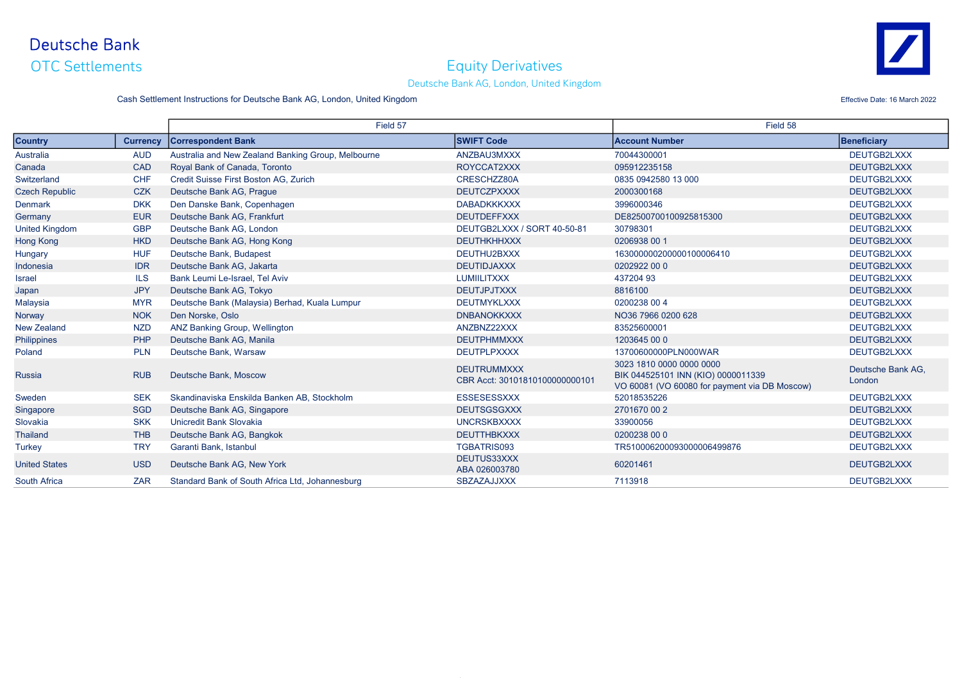OTC Settlements

#### Equity Derivatives



#### Deutsche Bank AG, London, United Kingdom

Cash Settlement Instructions for Deutsche Bank AG, London, United Kingdom **Effective Date: 16 March 2022** Effective Date: 16 March 2022

Country Currency Correspondent Bank SWIFT Code SWIFT Code Account Number Account Number Beneficiary Australia **AUD** Australia and New Zealand Banking Group, Melbourne ANZBAU3MXXX 70044300001 70044300001 DEUTGB2LXXX Canada CAD Royal Bank of Canada. Toronto CAD ROYCCAT2XXX ROYCCAT2XXX 095912235158 DEUTGB2LXXX Switzerland CHF Credit Suisse First Boston AG, Zurich CRESCHZZ80A CRESCHZZ80A 0835 0942580 13 000 DEUTGB2LXXX Czech Republic CZK Deutsche Bank AG, Prague CZK Deutsche Bank AG, Prague DEUTCZPXXXX DEUTCZPXXXX DEUTGB2LXXX DEUTGB2LXXX Denmark DKK Den Danske Bank, Copenhagen Natural DABADKKKXXX DABADKKKXXX 3996000346 DABADKKKOXX DEUTGB2LXXX Germany EUR Deutsche Bank AG, Frankfurt Deutsche Bank AG, Frankfurt DEUTDEFFXXX DEUTDEFFXXX DE82500700100925815300 United Kingdom GBP Deutsche Bank AG, London DEUTGB2LXXX / SORT 40-50-81 30798301 DEUTGB2LXXX Hong Kong HKD Deutsche Bank AG, Hong Kong Christian Marchan Deut Deutsche Bank AG, Hong Kong Deutsche Bank AG, Hong Kong Deutsche Bank AG, Hong Kong Deutsche Bank AG, Hong Kong Deutsche Deutsche Bank AG, Hong Kong Deutsche Hungary **HUF Deutsche Bank, Budapest CHE DEUTHU2BXXX** DEUTHU2BXXX 163000000200000100006410 DEUTGB2LXXX Indonesia **IDR Deutsche Bank AG, Jakarta** DEUTES DEUTES DEUTIDJAXXX 0202922 00 0 DEUTGB2LXXX DEUTGB2LXXX Israel ILS Bank Leumi Le-Israel, Tel Aviv LUMIILITXXX 437204 93 DEUTGB2LXXX Japan JPY Deutsche Bank AG, Tokyo Deutsche Bank AG, Tokyo DEUTJPJTXXX DEUTJPJTXXX 8816100 DEUTGB2LXXX DEUTGB2LXXX Malaysia MYR Deutsche Bank (Malaysia) Berhad, Kuala Lumpur DEUTMYKLXXX DEUTGD20238 00 4 DEUTGB2LXXX Norway Nok Den Norske, Oslo Nostel Den Norske, Oslo DNBANOKKXXX DNBANOKKXXX DNBANOKKXXX NO36 7966 0200 628 DEUTGB2LXXX New Zealand NZD ANZ Banking Group, Wellington Natural ANZBNZ22XXX ANZBNZ22XXX 83525600001 ANZEN ANZBNZ22XXX DEUTGB2LXXX Philippines PHP Deutsche Bank AG, Manila DEUTCH DEUTPHMMXXX DEUTPHMMXXX 1203645 00 0 DEUTGB2LXXX DEUTGB2LXXX Poland Pun Deutsche Bank, Warsaw **Punch and Punch DEUTPLPXXXX** DEUTPLPXXXX 13700600000PLN000WAR DEUTGB2LXXX Russia **RUB** Deutsche Bank, Moscow DEUTRUMMXXX **DEUTRUMMXXX** CBR Acct: 30101810100000000101 3023 1810 0000 0000 0000 BIK 044525101 INN (KIO) 0000011339 VO 60081 (VO 60080 for payment via DB Moscow) Deutsche Bank AG, London Sweden SEK Skandinaviska Enskilda Banken AB, Stockholm ESSESESSXXX 52018535226 52018535226 DEUTGB2LXXX Singapore SGD Deutsche Bank AG, Singapore SGD Deutsche Bank AG, Singapore DEUTGB2LXXX DEUTGGSGXXX 2701670 00 2 Slovakia SKK Unicredit Bank Slovakia UNCRSKBXXXX 33900056 DEUTGB2LXXX Thailand The Deutsche Bank AG, Bangkok DEUTGB2LXXX DEUTTHBKXXX 0200238 00 0 DEUTGB2LXXX Turkey TRY Garanti Bank, Istanbul TRY Garanti Bank, Istanbul TGBATRIS093 TGBATRIS093 TR510006200093000006499876 DEUTGB2LXXX United States **USD** Deutsche Bank AG, New York DEUTUS33XXX<br>ABA 026003780 ABA 026003780 <sup>60201461</sup> DEUTGB2LXXX South Africa **Standard Bank of South Africa Ltd, Johannesburg** SBZAZAJJXXX 7113918 7113918 DEUTGB2LXXX Field 57 Field 58